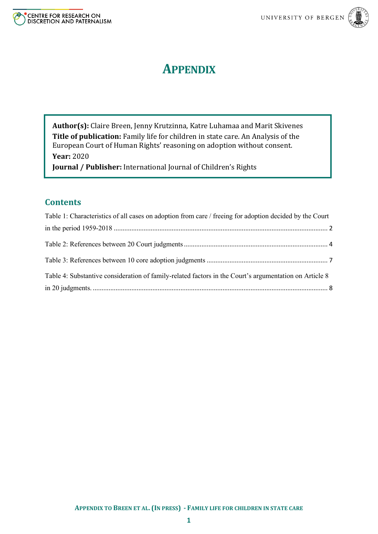



# **APPENDIX**

**Author(s):** Claire Breen, Jenny Krutzinna, Katre Luhamaa and Marit Skivenes **Title of publication:** Family life for children in state care. An Analysis of the European Court of Human Rights' reasoning on adoption without consent. **Year:** 2020

**Journal / Publisher:** International Journal of Children's Rights

# **Contents**

| Table 1: Characteristics of all cases on adoption from care / freeing for adoption decided by the Court |  |
|---------------------------------------------------------------------------------------------------------|--|
|                                                                                                         |  |
|                                                                                                         |  |
|                                                                                                         |  |
| Table 4: Substantive consideration of family-related factors in the Court's argumentation on Article 8  |  |
|                                                                                                         |  |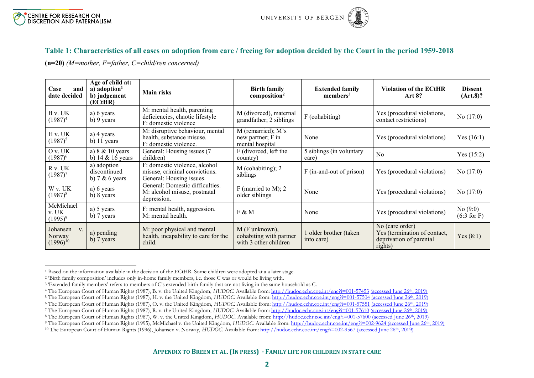

### **Table 1: Characteristics of all cases on adoption from care / freeing for adoption decided by the Court in the period 1959-2018**

**(n=20)** *(M=mother, F=father, C=child/ren concerned)*

| Case<br>and<br>date decided               | Age of child at:<br>$a)$ adoption <sup>1</sup><br>b) judgement<br>(ECtHR) | <b>Main risks</b>                                                                          | <b>Birth family</b><br>composition <sup>2</sup>                    | <b>Extended family</b><br>members <sup>3</sup> | <b>Violation of the ECtHR</b><br><b>Art 8?</b>                                        | <b>Dissent</b><br>(Art.8)? |
|-------------------------------------------|---------------------------------------------------------------------------|--------------------------------------------------------------------------------------------|--------------------------------------------------------------------|------------------------------------------------|---------------------------------------------------------------------------------------|----------------------------|
| B v. UK<br>$(1987)^4$                     | a) 6 years<br>b) 9 years                                                  | M: mental health, parenting<br>deficiencies, chaotic lifestyle<br>F: domestic violence     | M (divorced), maternal<br>grandfather; 2 siblings                  | F (cohabiting)                                 | Yes (procedural violations,<br>contact restrictions)                                  | No $(17:0)$                |
| H v. UK<br>$(1987)^{5}$                   | a) 4 years<br>b) 11 years                                                 | M: disruptive behaviour, mental<br>health, substance misuse.<br>F: domestic violence.      | $M$ (remarried); $M$ 's<br>new partner; F in<br>mental hospital    | None                                           | Yes (procedural violations)                                                           | Yes $(16:1)$               |
| Ov. UK<br>$(1987)^6$                      | a) $8 \& 10 \text{ years}$<br>b) $14 & 16$ years                          | General: Housing issues (7<br>children)                                                    | F (divorced, left the<br>country)                                  | 5 siblings (in voluntary<br>care)              | No                                                                                    | Yes $(15:2)$               |
| R v. UK<br>$(1987)^7$                     | a) adoption<br>discontinued<br>b) $7 & 6$ years                           | F: domestic violence, alcohol<br>misuse, criminal convictions.<br>General: Housing issues. | M (cohabiting); 2<br>siblings                                      | F (in-and-out of prison)                       | Yes (procedural violations)                                                           | No $(17:0)$                |
| W v. UK<br>$(1987)^8$                     | a) 6 years<br>b) 8 years                                                  | General: Domestic difficulties.<br>M: alcohol misuse, postnatal<br>depression.             | $F$ (married to M); 2<br>older siblings                            | None                                           | Yes (procedural violations)                                                           | No $(17:0)$                |
| McMichael<br>v. UK<br>$(1995)^9$          | a) 5 years<br>b) 7 years                                                  | F: mental health, aggression.<br>M: mental health.                                         | F & M                                                              | None                                           | Yes (procedural violations)                                                           | No(9:0)<br>$(6:3$ for F)   |
| Johansen<br>V.<br>Norway<br>$(1996)^{10}$ | a) pending<br>b) 7 years                                                  | M: poor physical and mental<br>health, incapability to care for the<br>child.              | M (F unknown),<br>cohabiting with partner<br>with 3 other children | older brother (taken<br>into care)             | No (care order)<br>Yes (termination of contact,<br>deprivation of parental<br>rights) | Yes $(8:1)$                |

<span id="page-1-0"></span><sup>1</sup> Based on the information available in the decision of the ECtHR. Some children were adopted at a a later stage.

<sup>2</sup> 'Birth family composition' includes only in-home family members, i.e. those C was or would be living with.

<sup>&</sup>lt;sup>3</sup> 'Extended family members' refers to members of C's extended birth family that are not living in the same household as C.

<sup>&</sup>lt;sup>4</sup> The European Court of Human Rights (1987), B. v. the United Kingdom, *HUDOC*. Available from[: http://hudoc.echr.coe.int/eng?i=001-57453](http://hudoc.echr.coe.int/eng?i=001-57453) (accessed June 26<sup>th</sup>, 2019)

<sup>&</sup>lt;sup>5</sup> The European Court of Human Rights (1987), H. v. the United Kingdom, *HUDOC*. Available from:<http://hudoc.echr.coe.int/eng?i=001-57504> (accessed June 26<sup>th</sup>, 2019)

<sup>&</sup>lt;sup>6</sup> The European Court of Human Rights (1987), O. v. the United Kingdom, *HUDOC*. Available from:<http://hudoc.echr.coe.int/eng?i=001-57551> (accessed June 26<sup>th</sup>, 2019)

<sup>7</sup> The European Court of Human Rights (1987), R. v. the United Kingdom, *HUDOC.* Available from:<http://hudoc.echr.coe.int/eng?i=001-57610> (accessed June 26th, 2019)

<sup>8</sup> The European Court of Human Rights (1987), W. v. the United Kingdom, *HUDOC.* Available from:<http://hudoc.echr.coe.int/eng?i=001-57600> (accessed June 26th, 2019)

<sup>9</sup> The European Court of Human Rights (1995), McMichael v. the United Kingdom, *HUDOC.* Available from:<http://hudoc.echr.coe.int/eng?i=002-9624> (accessed June 26th, 2019)

<sup>&</sup>lt;sup>10</sup> The European Court of Human Rights (1996), Johansen v. Norway, *HUDOC*. Available from[: http://hudoc.echr.coe.int/eng?i=002-9567](http://hudoc.echr.coe.int/eng?i=002-9567) (accessed June 26<sup>th</sup>, 2019)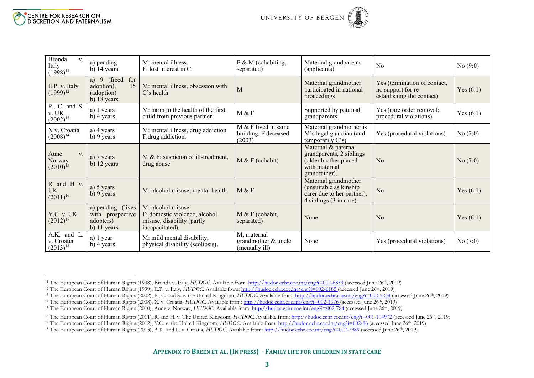| <b>Bronda</b><br>V.<br>Italy<br>$(1998)^{11}$   | a) pending<br>$b)$ 14 years                                                        | M: mental illness.<br>F: lost interest in C.                                                         | F & M (cohabiting,<br>separated)                        | Maternal grandparents<br>(applicants)                                                                      | N <sub>o</sub>                                                                  | No(9:0)     |
|-------------------------------------------------|------------------------------------------------------------------------------------|------------------------------------------------------------------------------------------------------|---------------------------------------------------------|------------------------------------------------------------------------------------------------------------|---------------------------------------------------------------------------------|-------------|
| E.P. v. Italy<br>$(1999)^{12}$                  | a) $9$ (freed<br>for<br>15 <sup>1</sup><br>adoption),<br>(adoption)<br>b) 18 years | M: mental illness, obsession with<br>$C's$ health                                                    | M                                                       | Maternal grandmother<br>participated in national<br>proceedings                                            | Yes (termination of contact,<br>no support for re-<br>establishing the contact) | Yes $(6:1)$ |
| P., C. and S.<br>${\bf v}.$ UK<br>$(2002)^{13}$ | a) 1 years<br>b) 4 years                                                           | M: harm to the health of the first<br>child from previous partner                                    | M & F                                                   | Supported by paternal<br>grandparents                                                                      | Yes (care order removal;<br>procedural violations)                              | Yes $(6:1)$ |
| X v. Croatia<br>$(2008)^{14}$                   | a) 4 years<br>b) 9 years                                                           | M: mental illness, drug addiction.<br>F:drug addiction.                                              | $M & F$ lived in same<br>building. F deceased<br>(2003) | Maternal grandmother is<br>M's legal guardian (and<br>temporarily C's).                                    | Yes (procedural violations)                                                     | No(7:0)     |
| Aune<br>V.<br>Norway<br>$(2010)^{15}$           | a) 7 years<br>b) 12 years                                                          | M & F: suspicion of ill-treatment,<br>drug abuse                                                     | M & F (cohabit)                                         | Maternal & paternal<br>grandparents, 2 siblings<br>(older brother placed<br>with maternal<br>grandfather). | No                                                                              | No(7:0)     |
| R and H v.<br><b>UK</b><br>$(2011)^{16}$        | a) 5 years<br>b) 9 years                                                           | M: alcohol misuse, mental health.                                                                    | M & F                                                   | Maternal grandmother<br>(unsuitable as kinship)<br>carer due to her partner),<br>4 siblings (3 in care).   | N <sub>o</sub>                                                                  | Yes $(6:1)$ |
| Y.C. v. UK<br>$(2012)^{17}$                     | a) pending (lives<br>with prospective<br>adopters)<br>b) 11 years                  | M: alcohol misuse.<br>F: domestic violence, alcohol<br>misuse, disability (partly<br>incapacitated). | M & F (cohabit,<br>separated)                           | None                                                                                                       | N <sub>o</sub>                                                                  | Yes $(6:1)$ |
| A.K. and L.<br>v. Croatia<br>$(2013)^{18}$      | a) 1 year<br>b) 4 years                                                            | M: mild mental disability,<br>physical disability (scoliosis).                                       | M, maternal<br>grandmother & uncle<br>(mentally ill)    | None                                                                                                       | Yes (procedural violations)                                                     | No(7:0)     |

<sup>11</sup> The European Court of Human Rights (1998), Bronda v. Italy, *HUDOC.* Available from[: http://hudoc.echr.coe.int/eng?i=002-6859](http://hudoc.echr.coe.int/eng?i=002-6859) (accessed June 26th, 2019)

<sup>12</sup> The European Court of Human Rights (1999), E.P. v. Italy, *HUDOC.* Available from[: http://hudoc.echr.coe.int/eng?i=002-6185](http://hudoc.echr.coe.int/eng?i=002-6185) (accessed June 26th, 2019)

<sup>&</sup>lt;sup>13</sup> The European Court of Human Rights (2002), P., C. and S. v. the United Kingdom, *HUDOC*. Available from[: http://hudoc.echr.coe.int/eng?i=002-5238](http://hudoc.echr.coe.int/eng?i=002-5238) (accessed June 26<sup>th</sup>, 2019)

<sup>14</sup> The European Court of Human Rights (2008), X. v. Croatia, *HUDOC.* Available from:<http://hudoc.echr.coe.int/eng?i=002-1976> (accessed June 26th, 2019)

<sup>&</sup>lt;sup>15</sup> The European Court of Human Rights (2010), Aune v. Norway, *HUDOC*. Available from:<http://hudoc.echr.coe.int/eng?i=002-784> (accessed June 26<sup>th</sup>, 2019)

<sup>&</sup>lt;sup>16</sup> The European Court of Human Rights (2011), R. and H. v. The United Kingdom, *HUDOC*. Available from[: http://hudoc.echr.coe.int/eng?i=001-104972](http://hudoc.echr.coe.int/eng?i=001-104972) (accessed June 26<sup>th</sup>, 2019)

<sup>&</sup>lt;sup>17</sup> The European Court of Human Rights (2012), Y.C. v. the United Kingdom, *HUDOC*. Available from[: http://hudoc.echr.coe.int/eng?i=002-86](http://hudoc.echr.coe.int/eng?i=002-86) (accessed June 26<sup>th</sup>, 2019)

<sup>&</sup>lt;sup>18</sup> The European Court of Human Rights (2013), A.K. and L. v. Croatia, *HUDOC*. Available from[: http://hudoc.echr.coe.int/eng?i=002-7389](http://hudoc.echr.coe.int/eng?i=002-7389) (accessed June 26<sup>th</sup>, 2019)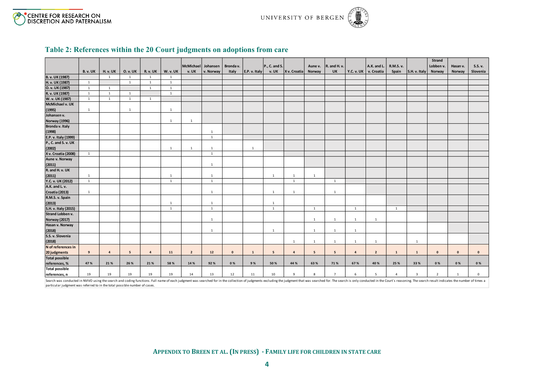



## **Table 2: References within the 20 Court judgments on adoptions from care**

|                       |                 |                         |                 |                |              |                    |                |              |               |               |                         |              |                |                         |                       |                |                         | Strand             |             |                    |
|-----------------------|-----------------|-------------------------|-----------------|----------------|--------------|--------------------|----------------|--------------|---------------|---------------|-------------------------|--------------|----------------|-------------------------|-----------------------|----------------|-------------------------|--------------------|-------------|--------------------|
|                       |                 |                         |                 |                |              | McMichael Johansen |                | Bronda v.    |               | P., C. and S. |                         | Aune v.      | R. and H. v.   |                         | A.K. and L.           | R.M.S. v.      |                         | Lobben v.          | Hasan v.    | S.S. v.            |
|                       | <b>B. v. UK</b> | H. v. UK                | <b>O. v. UK</b> | R. v. UK       | W. v. UK     | v. UK              | v. Norway      | Italy        | E.P. v. Italy | v. UK         | X v. Croatia            | Norway       | UK             |                         | Y.C. v. UK v. Croatia | Spain          | S.H. v. Italy           | Norway             | Norway      | Slovenia           |
| B. v. UK (1987)       |                 | $\overline{1}$          | $\overline{1}$  | $\overline{1}$ | <sup>1</sup> |                    |                |              |               |               |                         |              |                |                         |                       |                |                         |                    |             |                    |
| H. v. UK (1987)       | <sup>1</sup>    |                         | $\mathbf{1}$    | $\mathbf{1}$   | <sup>1</sup> |                    |                |              |               |               |                         |              |                |                         |                       |                |                         |                    |             |                    |
| O. v. UK (1987)       | <sup>1</sup>    | $\mathbf{1}$            |                 | $\mathbf{1}$   | $\mathbf{1}$ |                    |                |              |               |               |                         |              |                |                         |                       |                |                         |                    |             |                    |
| R. v. UK (1987)       | 1               | $\mathbf{1}$            | $\mathbf{1}$    |                | $\mathbf{1}$ |                    |                |              |               |               |                         |              |                |                         |                       |                |                         |                    |             |                    |
| W. v. UK (1987)       | 1               | $\mathbf{1}$            | $\mathbf{1}$    | $\mathbf{1}$   |              |                    |                |              |               |               |                         |              |                |                         |                       |                |                         |                    |             |                    |
| McMichael v. UK       |                 |                         |                 |                |              |                    |                |              |               |               |                         |              |                |                         |                       |                |                         |                    |             |                    |
| (1995)                | $\mathbf{1}$    |                         | <sup>1</sup>    |                | $\mathbf{1}$ |                    |                |              |               |               |                         |              |                |                         |                       |                |                         |                    |             |                    |
| Johansen v.           |                 |                         |                 |                |              |                    |                |              |               |               |                         |              |                |                         |                       |                |                         |                    |             |                    |
| <b>Norway (1996)</b>  |                 |                         |                 |                | 1            | 1                  |                |              |               |               |                         |              |                |                         |                       |                |                         |                    |             |                    |
| Bronda v. Italy       |                 |                         |                 |                |              |                    |                |              |               |               |                         |              |                |                         |                       |                |                         |                    |             |                    |
| (1998)                |                 |                         |                 |                |              |                    | $\mathbf{1}$   |              |               |               |                         |              |                |                         |                       |                |                         |                    |             |                    |
| E.P. v. Italy (1999)  |                 |                         |                 |                |              |                    | $\overline{1}$ |              |               |               |                         |              |                |                         |                       |                |                         |                    |             |                    |
| P., C. and S. v. UK   |                 |                         |                 |                |              |                    |                |              |               |               |                         |              |                |                         |                       |                |                         |                    |             |                    |
| (2002)                |                 |                         |                 |                | 1            | $\mathbf{1}$       | 1              |              | <sup>1</sup>  |               |                         |              |                |                         |                       |                |                         |                    |             |                    |
| X v. Croatia (2008)   | $\mathbf{1}$    |                         |                 |                |              |                    | $\,$ 1 $\,$    |              |               |               |                         |              |                |                         |                       |                |                         |                    |             |                    |
| Aune v. Norway        |                 |                         |                 |                |              |                    |                |              |               |               |                         |              |                |                         |                       |                |                         |                    |             |                    |
| (2011)                |                 |                         |                 |                |              |                    | $\overline{1}$ |              |               |               |                         |              |                |                         |                       |                |                         |                    |             |                    |
| R. and H. v. UK       |                 |                         |                 |                |              |                    |                |              |               |               |                         |              |                |                         |                       |                |                         |                    |             |                    |
| (2011)                | 1               |                         |                 |                | $\mathbf{1}$ |                    | <sup>1</sup>   |              |               | $\mathbf{1}$  | $\mathbf{1}$            | $\mathbf{1}$ |                |                         |                       |                |                         |                    |             |                    |
| Y.C. v. UK (2012)     | <sup>1</sup>    |                         |                 |                | $\mathbf{1}$ |                    | $\overline{1}$ |              |               |               | $\mathbf{1}$            |              | $\mathbf{1}$   |                         |                       |                |                         |                    |             |                    |
| A.K. and L. v.        |                 |                         |                 |                |              |                    |                |              |               |               |                         |              |                |                         |                       |                |                         |                    |             |                    |
| Croatia (2013)        | $\mathbf{1}$    |                         |                 |                |              |                    | $\mathbf{1}$   |              |               | $\mathbf{1}$  | $\mathbf{1}$            |              | $\mathbf{1}$   |                         |                       |                |                         |                    |             |                    |
| R.M.S. v. Spain       |                 |                         |                 |                |              |                    |                |              |               |               |                         |              |                |                         |                       |                |                         |                    |             |                    |
| (2013)                |                 |                         |                 |                | $\mathbf{1}$ |                    | $\mathbf{1}$   |              |               | $\mathbf{1}$  |                         |              |                |                         |                       |                |                         |                    |             |                    |
| S.H. v. Italy (2015)  |                 |                         |                 |                | $\mathbf{1}$ |                    | $\mathbf{1}$   |              |               | $\mathbf{1}$  |                         | <sup>1</sup> |                | 1                       |                       | $\overline{1}$ |                         |                    |             |                    |
| Strand Lobben v.      |                 |                         |                 |                |              |                    |                |              |               |               |                         |              |                |                         |                       |                |                         |                    |             |                    |
| <b>Norway (2017)</b>  |                 |                         |                 |                |              |                    | $\mathbf{1}$   |              |               |               |                         | $\mathbf{1}$ | $\mathbf{1}$   | $\mathbf{1}$            | 1                     |                |                         |                    |             |                    |
| Hasan v. Norway       |                 |                         |                 |                |              |                    |                |              |               |               |                         |              |                |                         |                       |                |                         |                    |             |                    |
| (2018)                |                 |                         |                 |                |              |                    | $\overline{1}$ |              |               | $\mathbf{1}$  |                         | $\mathbf{1}$ | $\mathbf{1}$   | $\mathbf{1}$            |                       |                |                         |                    |             |                    |
| S.S. v. Slovenia      |                 |                         |                 |                |              |                    |                |              |               |               |                         |              |                |                         |                       |                |                         |                    |             |                    |
| (2018)                |                 |                         |                 |                |              |                    |                |              |               |               | $\mathbf{1}$            | <sup>1</sup> | $\mathbf{1}$   | $\mathbf{1}$            | 1                     |                | $\mathbf{1}$            |                    |             |                    |
| N of references in    |                 |                         |                 |                |              |                    |                |              |               |               |                         |              |                |                         |                       |                |                         |                    |             |                    |
| 20 judgments          | 9               | $\overline{\mathbf{4}}$ | 5 <sup>5</sup>  | $\overline{4}$ | 11           | $\overline{2}$     | $12\,$         | $\mathbf{0}$ | $\mathbf{1}$  | 5             | $\overline{\mathbf{4}}$ | 5            | 5 <sub>5</sub> | $\overline{\mathbf{4}}$ | $\overline{2}$        | $\mathbf{1}$   | $\mathbf{1}$            | $\pmb{\mathsf{o}}$ | $\mathbf 0$ | $\pmb{\mathsf{o}}$ |
| <b>Total possible</b> |                 |                         |                 |                |              |                    |                |              |               |               |                         |              |                |                         |                       |                |                         |                    |             |                    |
| references, %         | 47 %            | 21 %                    | 26 %            | 21%            | 58 %         | 14 %               | 92%            | 0%           | 9%            | 50 %          | 44 %                    | 63 %         | 71%            | 67 %                    | 40 %                  | 25 %           | 33 %                    | 0%                 | 0%          | 0%                 |
| <b>Total possible</b> |                 |                         |                 |                |              |                    |                |              |               |               |                         |              |                |                         |                       |                |                         |                    |             |                    |
| references, n         | 19              | 19                      | 19              | 19             | 19           | 14                 | 13             | 12           | 11            | 10            | 9                       | 8            | $\overline{7}$ | 6                       | 5                     | $\overline{4}$ | $\overline{\mathbf{3}}$ | $\overline{2}$     | 1           | $\mathbf 0$        |
|                       |                 |                         |                 |                |              |                    |                |              |               |               |                         |              |                |                         |                       |                |                         |                    |             |                    |

<span id="page-3-0"></span>Search was conducted in NVIVO using the search and coding functions. Full name of each judgment was searched for in the collection of judgments excluding the judgment hat was searched for. The search is only conducted in t particular judgment was referred to in the total possible number of cases.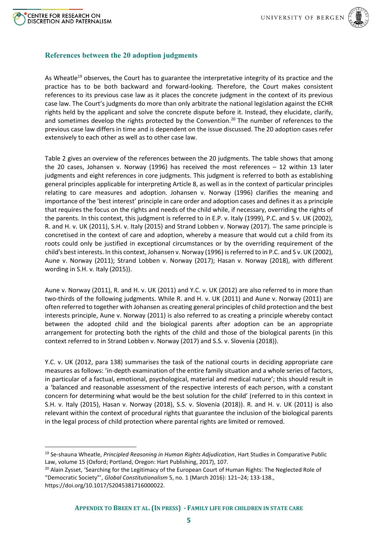



### **References between the 20 adoption judgments**

As Wheatle<sup>19</sup> observes, the Court has to guarantee the interpretative integrity of its practice and the practice has to be both backward and forward-looking. Therefore, the Court makes consistent references to its previous case law as it places the concrete judgment in the context of its previous case law. The Court's judgments do more than only arbitrate the national legislation against the ECHR rights held by the applicant and solve the concrete dispute before it. Instead, they elucidate, clarify, and sometimes develop the rights protected by the Convention.<sup>20</sup> The number of references to the previous case law differs in time and is dependent on the issue discussed. The 20 adoption cases refer extensively to each other as well as to other case law.

Table 2 gives an overview of the references between the 20 judgments. The table shows that among the 20 cases, Johansen v. Norway (1996) has received the most references – 12 within 13 later judgments and eight references in core judgments. This judgment is referred to both as establishing general principles applicable for interpreting Article 8, as well as in the context of particular principles relating to care measures and adoption. Johansen v. Norway (1996) clarifies the meaning and importance of the 'best interest' principle in care order and adoption cases and defines it as a principle that requires the focus on the rights and needs of the child while, if necessary, overriding the rights of the parents. In this context, this judgment is referred to in E.P. v. Italy (1999), P.C. and S v. UK (2002), R. and H. v. UK (2011), S.H. v. Italy (2015) and Strand Lobben v. Norway (2017). The same principle is concretised in the context of care and adoption, whereby a measure that would cut a child from its roots could only be justified in exceptional circumstances or by the overriding requirement of the child's best interests. In this context, Johansen v. Norway (1996) is referred to in P.C. and S v. UK (2002), Aune v. Norway (2011); Strand Lobben v. Norway (2017); Hasan v. Norway (2018), with different wording in S.H. v. Italy (2015)).

Aune v. Norway (2011), R. and H. v. UK (2011) and Y.C. v. UK (2012) are also referred to in more than two-thirds of the following judgments. While R. and H. v. UK (2011) and Aune v. Norway (2011) are often referred to together with Johansen as creating general principles of child protection and the best interests principle, Aune v. Norway (2011) is also referred to as creating a principle whereby contact between the adopted child and the biological parents after adoption can be an appropriate arrangement for protecting both the rights of the child and those of the biological parents (in this context referred to in Strand Lobben v. Norway (2017) and S.S. v. Slovenia (2018)).

Y.C. v. UK (2012, para 138) summarises the task of the national courts in deciding appropriate care measures as follows: 'in-depth examination of the entire family situation and a whole series of factors, in particular of a factual, emotional, psychological, material and medical nature'; this should result in a 'balanced and reasonable assessment of the respective interests of each person, with a constant concern for determining what would be the best solution for the child' (referred to in this context in S.H. v. Italy (2015), Hasan v. Norway (2018), S.S. v. Slovenia (2018)). R. and H. v. UK (2011) is also relevant within the context of procedural rights that guarantee the inclusion of the biological parents in the legal process of child protection where parental rights are limited or removed.

<sup>19</sup> Se-shauna Wheatle, *Principled Reasoning in Human Rights Adjudication*, Hart Studies in Comparative Public Law, volume 15 (Oxford; Portland, Oregon: Hart Publishing, 2017), 107.

<sup>&</sup>lt;sup>20</sup> Alain Zysset, 'Searching for the Legitimacy of the European Court of Human Rights: The Neglected Role of "Democratic Society"', *Global Constitutionalism* 5, no. 1 (March 2016): 121–24; 133-138., https://doi.org/10.1017/S2045381716000022.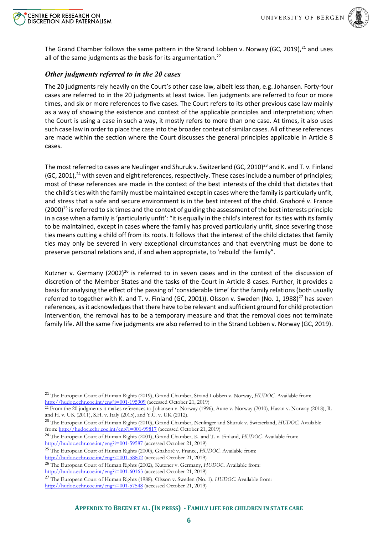



The Grand Chamber follows the same pattern in the Strand Lobben v. Norway (GC, 2019),  $21$  and uses all of the same judgments as the basis for its argumentation.<sup>22</sup>

#### *Other judgments referred to in the 20 cases*

The 20 judgments rely heavily on the Court's other case law, albeit less than, e.g. Johansen. Forty-four cases are referred to in the 20 judgments at least twice. Ten judgments are referred to four or more times, and six or more references to five cases. The Court refers to its other previous case law mainly as a way of showing the existence and context of the applicable principles and interpretation; when the Court is using a case in such a way, it mostly refers to more than one case. At times, it also uses such case law in order to place the case into the broader context of similar cases. All of these references are made within the section where the Court discusses the general principles applicable in Article 8 cases.

The most referred to cases are Neulinger and Shuruk v. Switzerland (GC, 2010)<sup>23</sup> and K. and T. v. Finland (GC, 2001),<sup>24</sup> with seven and eight references, respectively. These cases include a number of principles; most of these references are made in the context of the best interests of the child that dictates that the child's ties with the family must be maintained except in cases where the family is particularly unfit, and stress that a safe and secure environment is in the best interest of the child. Gnahoré v. France  $(2000)^{25}$  is referred to six times and the context of guiding the assessment of the best interests principle in a case when a family is 'particularly unfit': "it is equally in the child's interest for its ties with its family to be maintained, except in cases where the family has proved particularly unfit, since severing those ties means cutting a child off from its roots. It follows that the interest of the child dictates that family ties may only be severed in very exceptional circumstances and that everything must be done to preserve personal relations and, if and when appropriate, to 'rebuild' the family".

Kutzner v. Germany  $(2002)^{26}$  is referred to in seven cases and in the context of the discussion of discretion of the Member States and the tasks of the Court in Article 8 cases. Further, it provides a basis for analysing the effect of the passing of 'considerable time' for the family relations (both usually referred to together with K. and T. v. Finland (GC, 2001)). Olsson v. Sweden (No. 1, 1988)<sup>27</sup> has seven references, as it acknowledges that there have to be relevant and sufficient ground for child protection intervention, the removal has to be a temporary measure and that the removal does not terminate family life. All the same five judgments are also referred to in the Strand Lobben v. Norway (GC, 2019).

<sup>21</sup> The European Court of Human Rights (2019), Grand Chamber, Strand Lobben v. Norway, *HUDOC.* Available from: <http://hudoc.echr.coe.int/eng?i=001-195909> (accessed October 21, 2019)

<sup>22</sup> From the 20 judgments it makes references to Johansen v. Norway (1996), Aune v. Norway (2010), Hasan v. Norway (2018), R. and H. v. UK (2011), S.H. v. Italy (2015), and Y.C. v. UK (2012).

<sup>23</sup> The European Court of Human Rights (2010), Grand Chamber, Neulinger and Shuruk v. Switzerland, *HUDOC.* Available from[: http://hudoc.echr.coe.int/eng?i=001-99817](http://hudoc.echr.coe.int/eng?i=001-99817) (accessed October 21, 2019)

<sup>24</sup> The European Court of Human Rights (2001), Grand Chamber, K. and T. v. Finland, *HUDOC.* Available from: <http://hudoc.echr.coe.int/eng?i=001-59587> (accessed October 21, 2019)

<sup>25</sup> The European Court of Human Rights (2000), Gnahoré v. France, *HUDOC.* Available from:

<http://hudoc.echr.coe.int/eng?i=001-58802> (accessed October 21, 2019)

<sup>26</sup> The European Court of Human Rights (2002), Kutzner v. Germany, *HUDOC.* Available from:

<http://hudoc.echr.coe.int/eng?i=001-60163> (accessed October 21, 2019)

<sup>27</sup> The European Court of Human Rights (1988), Olsson v. Sweden (No. 1), *HUDOC.* Available from: <http://hudoc.echr.coe.int/eng?i=001-57548> (accessed October 21, 2019)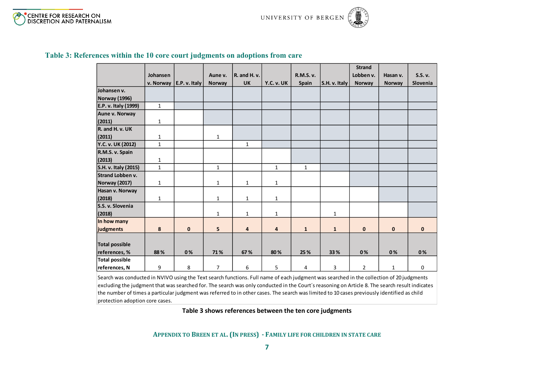

|                         |              |               |                |                |              |              |               | <b>Strand</b>  |               |              |
|-------------------------|--------------|---------------|----------------|----------------|--------------|--------------|---------------|----------------|---------------|--------------|
|                         | Johansen     |               | Aune v.        | R. and H. v.   |              | R.M.S. v.    |               | Lobben v.      | Hasan v.      | S.S. v.      |
|                         | v. Norway    | E.P. v. Italy | <b>Norway</b>  | <b>UK</b>      | Y.C. v. UK   | Spain        | S.H. v. Italy | Norway         | <b>Norway</b> | Slovenia     |
| Johansen v.             |              |               |                |                |              |              |               |                |               |              |
| Norway (1996)           |              |               |                |                |              |              |               |                |               |              |
| E.P. v. Italy (1999)    | $\mathbf{1}$ |               |                |                |              |              |               |                |               |              |
| Aune v. Norway          |              |               |                |                |              |              |               |                |               |              |
| (2011)                  | $\mathbf{1}$ |               |                |                |              |              |               |                |               |              |
| R. and H. v. UK         |              |               |                |                |              |              |               |                |               |              |
| (2011)                  | 1            |               | $\mathbf{1}$   |                |              |              |               |                |               |              |
| Y.C. v. UK (2012)       | $\mathbf{1}$ |               |                | $\mathbf{1}$   |              |              |               |                |               |              |
| R.M.S. v. Spain         |              |               |                |                |              |              |               |                |               |              |
| (2013)                  | $\mathbf 1$  |               |                |                |              |              |               |                |               |              |
| S.H. v. Italy (2015)    | $\mathbf{1}$ |               | $\mathbf{1}$   |                | $\mathbf{1}$ | $\mathbf{1}$ |               |                |               |              |
| <b>Strand Lobben v.</b> |              |               |                |                |              |              |               |                |               |              |
| <b>Norway (2017)</b>    | $\mathbf{1}$ |               | $\mathbf{1}$   | $\mathbf{1}$   | $\mathbf{1}$ |              |               |                |               |              |
| Hasan v. Norway         |              |               |                |                |              |              |               |                |               |              |
| (2018)                  | $\mathbf{1}$ |               | $\mathbf{1}$   | $\mathbf{1}$   | $\mathbf{1}$ |              |               |                |               |              |
| S.S. v. Slovenia        |              |               |                |                |              |              |               |                |               |              |
| (2018)                  |              |               | $\mathbf{1}$   | $\mathbf{1}$   | $\mathbf{1}$ |              | $\mathbf{1}$  |                |               |              |
| In how many             |              |               |                |                |              |              |               |                |               |              |
| judgments               | 8            | $\mathbf 0$   | 5              | $\overline{4}$ | 4            | $\mathbf{1}$ | $\mathbf{1}$  | $\mathbf 0$    | $\mathbf{0}$  | $\mathbf{0}$ |
|                         |              |               |                |                |              |              |               |                |               |              |
| <b>Total possible</b>   |              |               |                |                |              |              |               |                |               |              |
| references, %           | 88%          | 0%            | 71%            | 67%            | 80%          | 25 %         | 33 %          | 0%             | 0%            | 0%           |
| <b>Total possible</b>   |              |               |                |                |              |              |               |                |               |              |
| references, N           | 9            | 8             | $\overline{7}$ | 6              | 5            | 4            | 3             | $\overline{2}$ | $\mathbf{1}$  | 0            |

#### **Table 3: References within the 10 core court judgments on adoptions from care**

<span id="page-6-0"></span>Search was conducted in NVIVO using the Text search functions. Full name of each judgment was searched in the collection of 20 judgments excluding the judgment that was searched for. The search was only conducted in the Court´s reasoning on Article 8. The search result indicates the number of times a particular judgment was referred to in other cases. The search was limited to 10 cases previously identified as child protection adoption core cases.

**Table 3 shows references between the ten core judgments**

**APPENDIX TO BREEN ET AL. (IN PRESS) - FAMILY LIFE FOR CHILDREN IN STATE CARE**